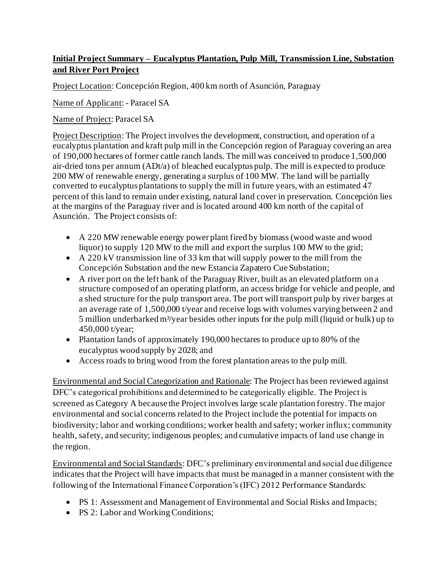## **Initial Project Summary – Eucalyptus Plantation, Pulp Mill, Transmission Line, Substation and River Port Project**

Project Location: Concepción Region, 400 km north of Asunción, Paraguay

Name of Applicant: - Paracel SA

Name of Project: Paracel SA

Project Description: The Project involves the development, construction, and operation of a eucalyptus plantation and kraft pulp mill in the Concepción region of Paraguay covering an area of 190,000 hectares of former cattle ranch lands. The mill was conceived to produce 1,500,000 air-dried tons per annum (ADt/a) of bleached eucalyptus pulp. The mill is expected to produce 200 MW of renewable energy, generating a surplus of 100 MW. The land will be partially converted to eucalyptus plantations to supply the mill in future years, with an estimated 47 percent of this land to remain under existing, natural land cover in preservation. Concepción lies at the margins of the Paraguay river and is located around 400 km north of the capital of Asunción. The Project consists of:

- A 220 MW renewable energy power plant fired by biomass (wood waste and wood liquor) to supply 120 MW to the mill and export the surplus 100 MW to the grid;
- A 220 kV transmission line of 33 km that will supply power to the mill from the Concepción Substation and the new Estancia Zapatero Cue Substation;
- A river port on the left bank of the Paraguay River, built as an elevated platform on a structure composed of an operating platform, an access bridge for vehicle and people, and a shed structure for the pulp transport area. The port will transport pulp by river barges at an average rate of 1,500,000 t/year and receive logs with volumes varying between 2 and 5 million underbarked  $m^3$ /year besides other inputs for the pulp mill (liquid or bulk) up to 450,000 t/year;
- Plantation lands of approximately 190,000 hectares to produce up to 80% of the eucalyptus wood supply by 2028; and
- Access roads to bring wood from the forest plantation areas to the pulp mill.

Environmental and Social Categorization and Rationale: The Project has been reviewed against DFC's categorical prohibitions and determined to be categorically eligible. The Project is screened as Category A because the Project involves large scale plantation forestry. The major environmental and social concerns related to the Project include the potential for impacts on biodiversity; labor and working conditions; worker health and safety; worker influx; community health, safety, and security; indigenous peoples; and cumulative impacts of land use change in the region.

Environmental and Social Standards: DFC's preliminary environmental and social due diligence indicates that the Project will have impacts that must be managed in a manner consistent with the following of the International Finance Corporation's (IFC) 2012 Performance Standards:

- PS 1: Assessment and Management of Environmental and Social Risks and Impacts;
- PS 2: Labor and Working Conditions;